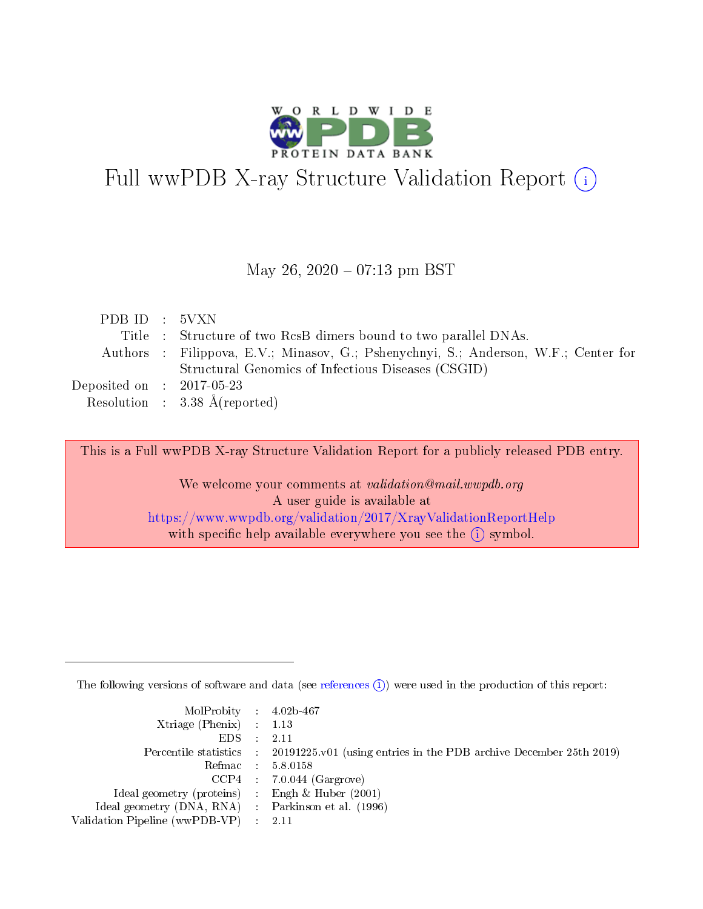

# Full wwPDB X-ray Structure Validation Report (i)

#### May 26,  $2020 - 07:13$  pm BST

| PDB ID : 5VXN                                             |                                                                                     |
|-----------------------------------------------------------|-------------------------------------------------------------------------------------|
|                                                           | Title : Structure of two RcsB dimers bound to two parallel DNAs.                    |
|                                                           | Authors : Filippova, E.V.; Minasov, G.; Pshenychnyi, S.; Anderson, W.F.; Center for |
|                                                           | Structural Genomics of Infectious Diseases (CSGID)                                  |
| $\rm Deposited\; on \;\; : \;\; 2017\text{-}05\text{-}23$ |                                                                                     |
|                                                           | Resolution : $3.38 \text{ Å}$ (reported)                                            |

This is a Full wwPDB X-ray Structure Validation Report for a publicly released PDB entry.

We welcome your comments at validation@mail.wwpdb.org A user guide is available at <https://www.wwpdb.org/validation/2017/XrayValidationReportHelp> with specific help available everywhere you see the  $(i)$  symbol.

The following versions of software and data (see [references](https://www.wwpdb.org/validation/2017/XrayValidationReportHelp#references)  $(i)$ ) were used in the production of this report:

| MolProbity : 4.02b-467                              |                                                                                            |
|-----------------------------------------------------|--------------------------------------------------------------------------------------------|
| $Xtriangle (Phenix)$ : 1.13                         |                                                                                            |
| $EDS = 2.11$                                        |                                                                                            |
|                                                     | Percentile statistics : 20191225.v01 (using entries in the PDB archive December 25th 2019) |
|                                                     | Refmac : 5.8.0158                                                                          |
|                                                     | $CCP4$ : 7.0.044 (Gargrove)                                                                |
| Ideal geometry (proteins) : Engh $\&$ Huber (2001)  |                                                                                            |
| Ideal geometry (DNA, RNA) : Parkinson et al. (1996) |                                                                                            |
| Validation Pipeline (wwPDB-VP) : 2.11               |                                                                                            |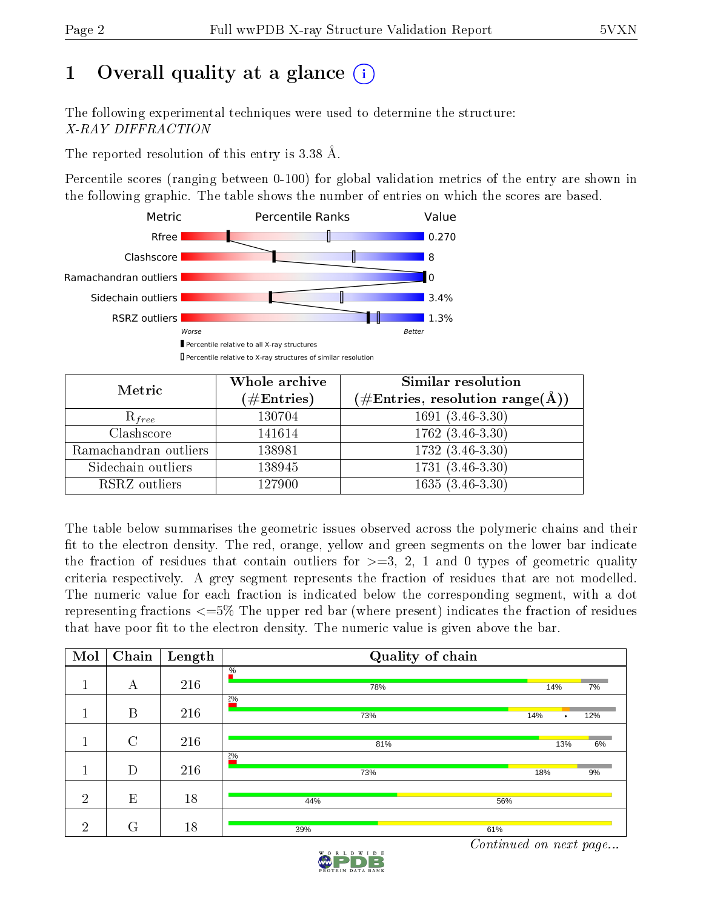# 1 [O](https://www.wwpdb.org/validation/2017/XrayValidationReportHelp#overall_quality)verall quality at a glance  $(i)$

The following experimental techniques were used to determine the structure: X-RAY DIFFRACTION

The reported resolution of this entry is 3.38 Å.

Percentile scores (ranging between 0-100) for global validation metrics of the entry are shown in the following graphic. The table shows the number of entries on which the scores are based.



| Metric                | Whole archive<br>$(\#\text{Entries})$ | Similar resolution<br>(#Entries, resolution range( $\AA$ )) |
|-----------------------|---------------------------------------|-------------------------------------------------------------|
| $R_{free}$            | 130704                                | $1691(3.46-3.30)$                                           |
| Clashscore            | 141614                                | $1762$ $(3.46-3.30)$                                        |
| Ramachandran outliers | 138981                                | $173\overline{2}$ $(3.46-3.30)$                             |
| Sidechain outliers    | 138945                                | $1731(3.46-3.30)$                                           |
| RSRZ outliers         | 127900                                | $1635(3.46-3.30)$                                           |

The table below summarises the geometric issues observed across the polymeric chains and their fit to the electron density. The red, orange, yellow and green segments on the lower bar indicate the fraction of residues that contain outliers for  $>=3, 2, 1$  and 0 types of geometric quality criteria respectively. A grey segment represents the fraction of residues that are not modelled. The numeric value for each fraction is indicated below the corresponding segment, with a dot representing fractions  $\epsilon=5\%$  The upper red bar (where present) indicates the fraction of residues that have poor fit to the electron density. The numeric value is given above the bar.

| Mol            | Chain         | Length | Quality of chain     |          |     |
|----------------|---------------|--------|----------------------|----------|-----|
| 1              | А             | 216    | $\frac{0}{6}$<br>78% | 14%      | 7%  |
|                | B             | 216    | $2\%$<br>73%         | 14%<br>٠ | 12% |
|                | $\mathcal{C}$ | 216    | 81%                  | 13%      | 6%  |
| и              | D             | 216    | $2\%$<br>73%         | 18%      | 9%  |
| $\overline{2}$ | E             | 18     | 56%<br>44%           |          |     |
| $\overline{2}$ | $\rm G$       | 18     | 39%<br>61%           |          |     |

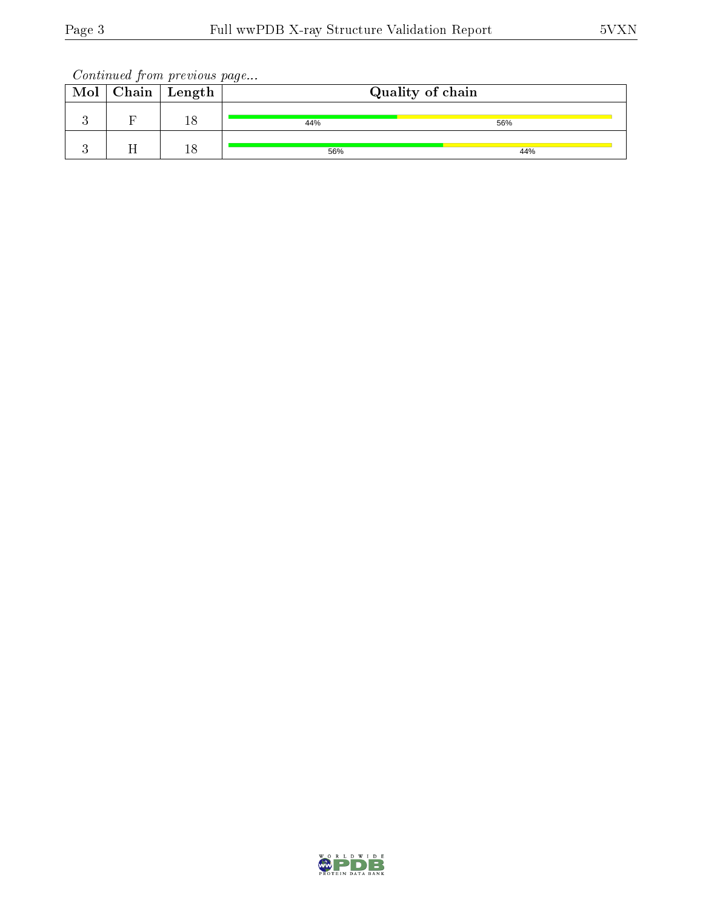Continued from previous page...

| Mol | $\mid$ Chain $\mid$ Length | Quality of chain |     |
|-----|----------------------------|------------------|-----|
|     | ΤC                         | 44%              | 56% |
|     | 18                         | 56%              | 44% |

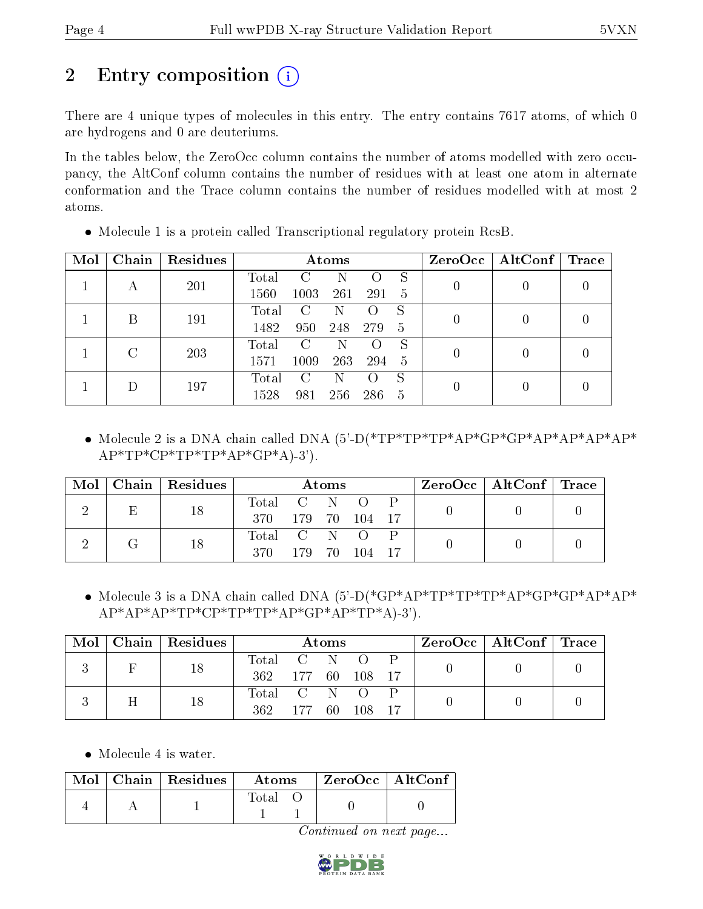# 2 Entry composition (i)

There are 4 unique types of molecules in this entry. The entry contains 7617 atoms, of which 0 are hydrogens and 0 are deuteriums.

In the tables below, the ZeroOcc column contains the number of atoms modelled with zero occupancy, the AltConf column contains the number of residues with at least one atom in alternate conformation and the Trace column contains the number of residues modelled with at most 2 atoms.

| Mol | Chain | Residues |       |      | Atoms |                    |    |   | $ZeroOcc \   \$ AltConf | Trace |
|-----|-------|----------|-------|------|-------|--------------------|----|---|-------------------------|-------|
|     | А     | 201      | Total |      | N     |                    | S  |   |                         |       |
|     |       |          | 1560  | 1003 | 261   | 291                | 5  |   |                         |       |
|     | В     | 191      | Total | С    | N     |                    | S  | 0 |                         |       |
|     |       |          | 1482  | 950  | 248   | 279                | 5  |   |                         |       |
|     | C     | 203      | Total | C    | N     |                    | S  | 0 |                         |       |
|     |       |          | 1571  | 1009 | 263   | 294                | -5 |   |                         |       |
|     |       | 197      | Total | C    | N     | $\left( \ \right)$ | S  |   |                         |       |
|     |       |          | 1528  | 981  | 256   | 286                | 5  | 0 |                         |       |

Molecule 1 is a protein called Transcriptional regulatory protein RcsB.

• Molecule 2 is a DNA chain called DNA  $(5)-D(*TP*TP*TP*AP*GP*GP*AP*AP*AP*AP*AP*AP*)$  $AP*TP*CP*TP*TP*AP*GP*A-3'$ .

| Mol | Chain   Residues |           |                  | Atoms |                  |       | $\text{ZeroOcc} \mid \text{AltConf} \mid \text{Trace}$ |  |
|-----|------------------|-----------|------------------|-------|------------------|-------|--------------------------------------------------------|--|
|     | 18               | Total     | $\overline{C}$ N |       | $\left( \right)$ |       |                                                        |  |
|     |                  | 370       | 179 70 104       |       |                  | $-17$ |                                                        |  |
|     | 18               | Total C N |                  |       | $\left( \right)$ |       |                                                        |  |
|     |                  | 370       |                  |       | 179 70 104       |       |                                                        |  |

• Molecule 3 is a DNA chain called DNA (5'-D(\*GP\*AP\*TP\*TP\*TP\*AP\*GP\*GP\*AP\*AP\*  $AP*AP*TP*CP*TP*TP*AP*GP*AP*GP*AP*TP*A-3'.$ 

| Mol | Chain Residues |                |         | Atoms |            |  | $\text{ZeroOcc}$   AltConf   Trace |  |
|-----|----------------|----------------|---------|-------|------------|--|------------------------------------|--|
|     | 18             | Total          | $C$ N O |       |            |  |                                    |  |
|     |                | 362 177 60 108 |         |       |            |  |                                    |  |
|     | 18             | Total C N O    |         |       |            |  |                                    |  |
|     |                | 362            |         |       | 177 60 108 |  |                                    |  |

• Molecule 4 is water.

|  | $\text{Mol}$   Chain   Residues | Atoms | $ZeroOcc$   AltConf |  |
|--|---------------------------------|-------|---------------------|--|
|  |                                 | Total |                     |  |

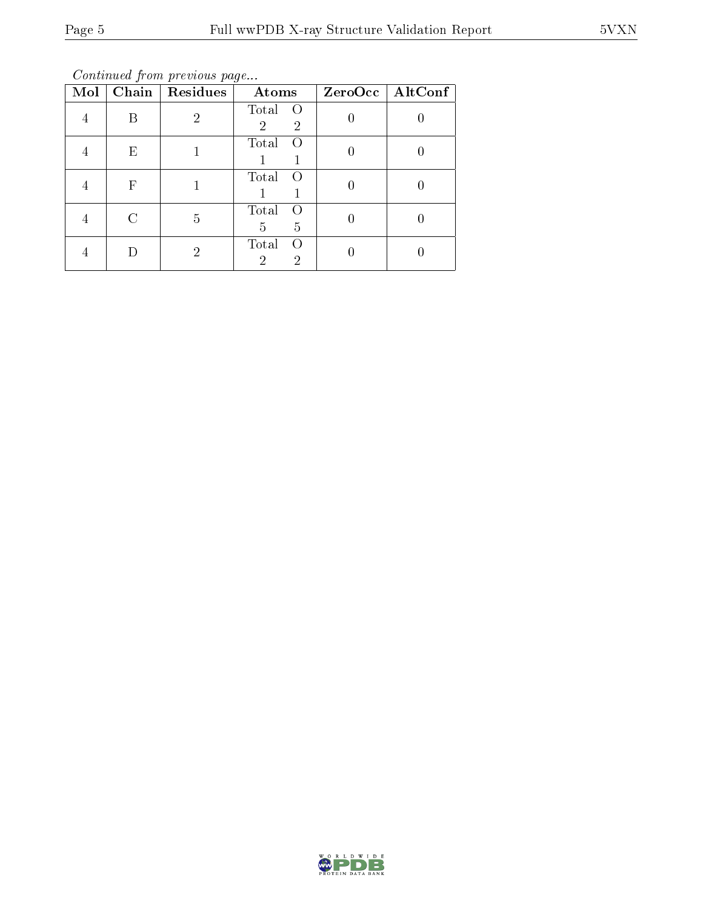Continued from previous page...

| Mol |    | Chain   Residues | Atoms                                                       | ZeroOcc   AltConf |
|-----|----|------------------|-------------------------------------------------------------|-------------------|
|     | В  | $\overline{2}$   | Total<br>$\overline{O}$<br>$\overline{2}$<br>$\overline{2}$ |                   |
|     | F, |                  | Total<br>$\left( \right)$                                   |                   |
|     | F  |                  | Total<br>$\left( \right)$                                   |                   |
|     |    | 5                | Total<br>$\left( \ \right)$<br>5<br>5                       |                   |
|     |    | 2                | Total<br>$\left( \ \right)$<br>$\overline{2}$<br>2          |                   |

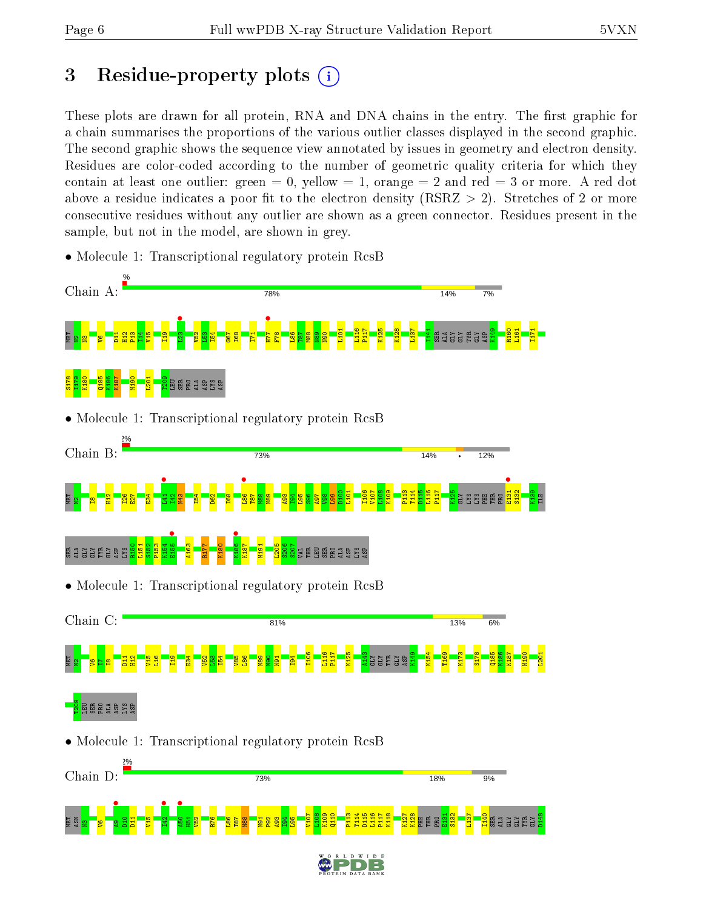# 3 Residue-property plots  $(i)$

These plots are drawn for all protein, RNA and DNA chains in the entry. The first graphic for a chain summarises the proportions of the various outlier classes displayed in the second graphic. The second graphic shows the sequence view annotated by issues in geometry and electron density. Residues are color-coded according to the number of geometric quality criteria for which they contain at least one outlier: green  $= 0$ , yellow  $= 1$ , orange  $= 2$  and red  $= 3$  or more. A red dot above a residue indicates a poor fit to the electron density (RSRZ  $> 2$ ). Stretches of 2 or more consecutive residues without any outlier are shown as a green connector. Residues present in the sample, but not in the model, are shown in grey.



• Molecule 1: Transcriptional regulatory protein RcsB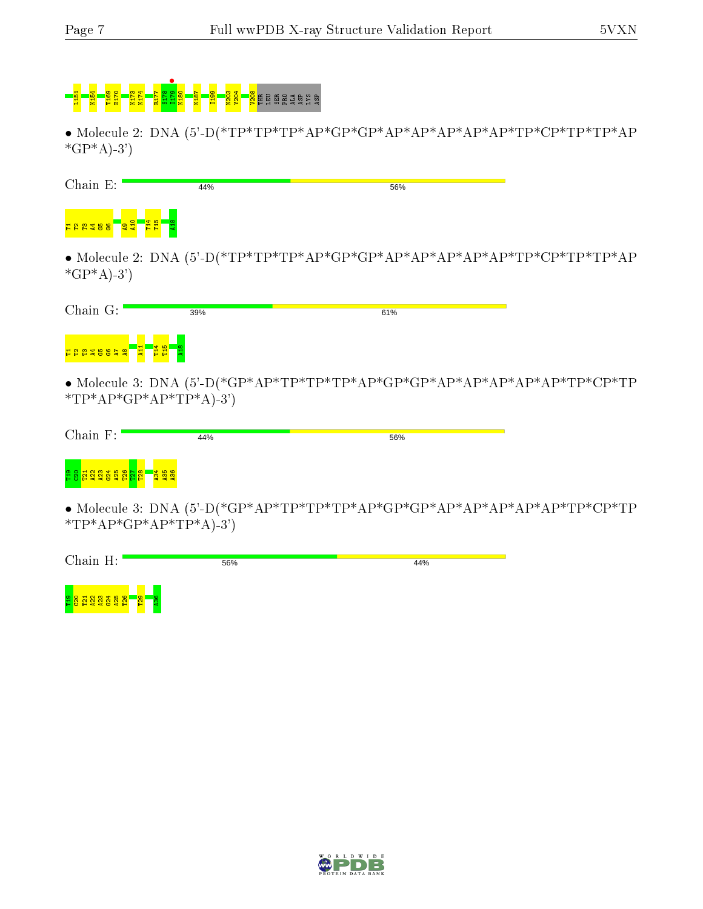# <mark>ន្ទី ន្ថំ E</mark>ngeling ក្នុងមាន

• Molecule 2: DNA (5'-D(\*TP\*TP\*TP\*AP\*GP\*GP\*AP\*AP\*AP\*AP\*AP\*TP\*CP\*TP\*TP\*AP  $*GP*A$ -3')

| $Chain E$ :  | 44% | 56% |  |
|--------------|-----|-----|--|
|              |     |     |  |
| $*GP*A$ -3') |     |     |  |

| Chain G:             | 39% | 61% |  |
|----------------------|-----|-----|--|
| 뒼<br><b>HAA48853</b> | 흡흡  |     |  |

• Molecule 3: DNA (5'-D(\*GP\*AP\*TP\*TP\*TP\*AP\*GP\*GP\*AP\*AP\*AP\*AP\*AP\*TP\*CP\*TP \*TP\*AP\*GP\*AP\*TP\*A $)-3$ ')

| Chain F:                                                              | 44% | 56% |  |
|-----------------------------------------------------------------------|-----|-----|--|
| <b>235</b><br>252<br>T <sub>19</sub><br>12 E<br>a<br>福音<br><b>ALC</b> |     |     |  |

• Molecule 3: DNA (5'-D(\*GP\*AP\*TP\*TP\*TP\*AP\*GP\*GP\*AP\*AP\*AP\*AP\*AP\*TP\*CP\*TP  $*TP*AP*GP*AP*TP*A)-3'$ 

| Chain H:                                            | 56% | 44% |
|-----------------------------------------------------|-----|-----|
| $\bullet$<br><b>PSI</b><br>ာ<br><b>ELLES</b><br>$-$ |     |     |

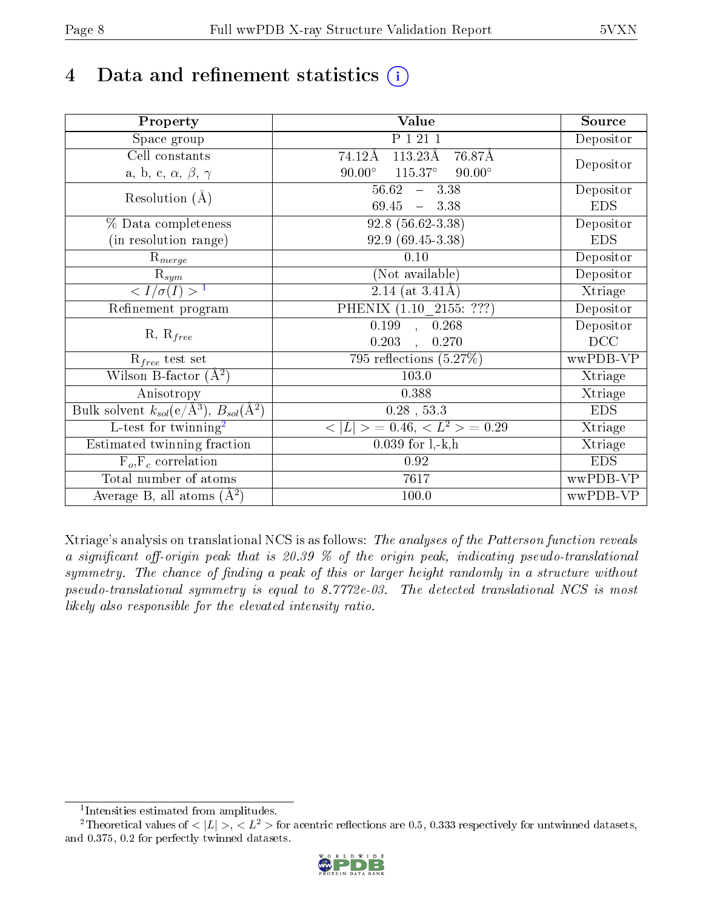# 4 Data and refinement statistics  $(i)$

| Property                                                             | Value                                              | Source     |
|----------------------------------------------------------------------|----------------------------------------------------|------------|
| Space group                                                          | P 1 21 1                                           | Depositor  |
| Cell constants                                                       | $113.23\text{\AA}$<br>76.87Å<br>74.12Å             |            |
| a, b, c, $\alpha$ , $\beta$ , $\gamma$                               | $90.00^\circ$<br>$115.37^{\circ}$<br>$90.00^\circ$ | Depositor  |
| Resolution $(A)$                                                     | 56.62<br>$-3.38$                                   | Depositor  |
|                                                                      | $69.45 - 3.38$                                     | <b>EDS</b> |
| % Data completeness                                                  | $92.8(56.62-3.38)$                                 | Depositor  |
| (in resolution range)                                                | 92.9 (69.45-3.38)                                  | <b>EDS</b> |
| $R_{merge}$                                                          | 0.10                                               | Depositor  |
| $\mathrm{R}_{sym}$                                                   | (Not available)                                    | Depositor  |
| $\sqrt{I/\sigma}(I) > 1$                                             | 2.14 (at $3.41\text{\AA}$ )                        | Xtriage    |
| Refinement program                                                   | PHENIX (1.10 _ 2155: ???)                          | Depositor  |
|                                                                      | 0.199, 0.268                                       | Depositor  |
| $R, R_{free}$                                                        | 0.203<br>0.270                                     | DCC        |
| $R_{free}$ test set                                                  | 795 reflections $(5.27\%)$                         | wwPDB-VP   |
| Wilson B-factor $(A^2)$                                              | 103.0                                              | Xtriage    |
| Anisotropy                                                           | 0.388                                              | Xtriage    |
| Bulk solvent $k_{sol}(e/\mathring{A}^3)$ , $B_{sol}(\mathring{A}^2)$ | $0.28$ , 53.3                                      | <b>EDS</b> |
| L-test for twinning <sup>2</sup>                                     | $>$ = 0.46, < $L^2$ > = 0.29<br>< L                | Xtriage    |
| Estimated twinning fraction                                          | $0.039$ for $1, -k, h$                             | Xtriage    |
| $F_o, F_c$ correlation                                               | 0.92                                               | <b>EDS</b> |
| Total number of atoms                                                | 7617                                               | wwPDB-VP   |
| Average B, all atoms $(A^2)$                                         | 100.0                                              | wwPDB-VP   |

Xtriage's analysis on translational NCS is as follows: The analyses of the Patterson function reveals a significant off-origin peak that is 20.39  $\%$  of the origin peak, indicating pseudo-translational symmetry. The chance of finding a peak of this or larger height randomly in a structure without pseudo-translational symmetry is equal to 8.7772e-03. The detected translational NCS is most likely also responsible for the elevated intensity ratio.

<sup>&</sup>lt;sup>2</sup>Theoretical values of  $\langle |L| \rangle$ ,  $\langle L^2 \rangle$  for acentric reflections are 0.5, 0.333 respectively for untwinned datasets, and 0.375, 0.2 for perfectly twinned datasets.



<span id="page-7-1"></span><span id="page-7-0"></span><sup>1</sup> Intensities estimated from amplitudes.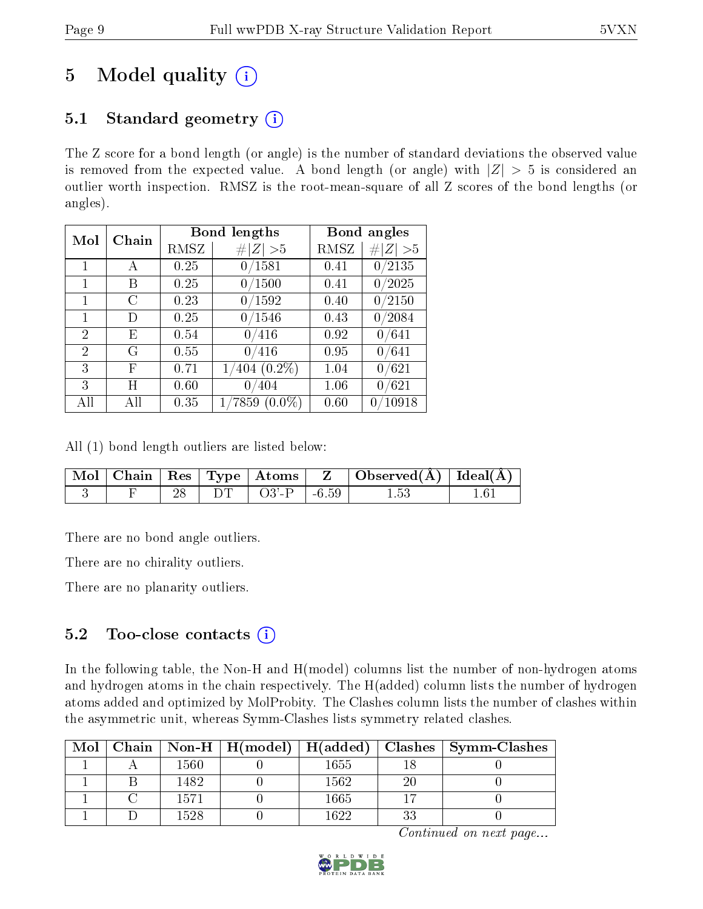# 5 Model quality  $(i)$

# 5.1 Standard geometry  $(i)$

The Z score for a bond length (or angle) is the number of standard deviations the observed value is removed from the expected value. A bond length (or angle) with  $|Z| > 5$  is considered an outlier worth inspection. RMSZ is the root-mean-square of all Z scores of the bond lengths (or angles).

| Mol            | Chain |      | <b>Bond lengths</b> | Bond angles |                     |
|----------------|-------|------|---------------------|-------------|---------------------|
|                |       | RMSZ | Z   > 5             | RMSZ        | # $ Z  > 5$         |
| 1              | А     | 0.25 | 0/1581              | 0.41        | $\overline{0}/2135$ |
| 1              | В     | 0.25 | 0/1500              | 0.41        | 0/2025              |
| 1              | C     | 0.23 | 0/1592              | 0.40        | 0/2150              |
| $\mathbf{1}$   | D     | 0.25 | 0/1546              | 0.43        | 0/2084              |
| 2              | E,    | 0.54 | 0/416               | 0.92        | 0/641               |
| $\overline{2}$ | G     | 0.55 | 0/416               | 0.95        | 0/641               |
| 3              | F     | 0.71 | $1/404$ $(0.2\%)$   | 1.04        | 0/621               |
| 3              | Η     | 0.60 | 0/404               | 1.06        | 0/621               |
| All            | All   | 0.35 | $(0.0\%)$<br>7859   | 0.60        | /10918<br>0         |

All (1) bond length outliers are listed below:

|  |  |                                     | $\mid$ Mol $\mid$ Chain $\mid$ Res $\mid$ Type $\mid$ Atoms $\mid$ $\mid$ Z $\mid$ Observed(Å) $\mid$ Ideal(Å) $\mid$ |  |
|--|--|-------------------------------------|-----------------------------------------------------------------------------------------------------------------------|--|
|  |  | $\Box$ DT $\Box$ O3'-P $\Box$ -6.59 | 1.53                                                                                                                  |  |

There are no bond angle outliers.

There are no chirality outliers.

There are no planarity outliers.

## 5.2 Too-close contacts  $(i)$

In the following table, the Non-H and H(model) columns list the number of non-hydrogen atoms and hydrogen atoms in the chain respectively. The H(added) column lists the number of hydrogen atoms added and optimized by MolProbity. The Clashes column lists the number of clashes within the asymmetric unit, whereas Symm-Clashes lists symmetry related clashes.

|  |          |      |    | Mol   Chain   Non-H   H(model)   H(added)   Clashes   Symm-Clashes |
|--|----------|------|----|--------------------------------------------------------------------|
|  | $1560\,$ | 1655 |    |                                                                    |
|  | 1482     | 1562 | 20 |                                                                    |
|  | 1571     | 1665 |    |                                                                    |
|  | 1528     | 1622 | 33 |                                                                    |

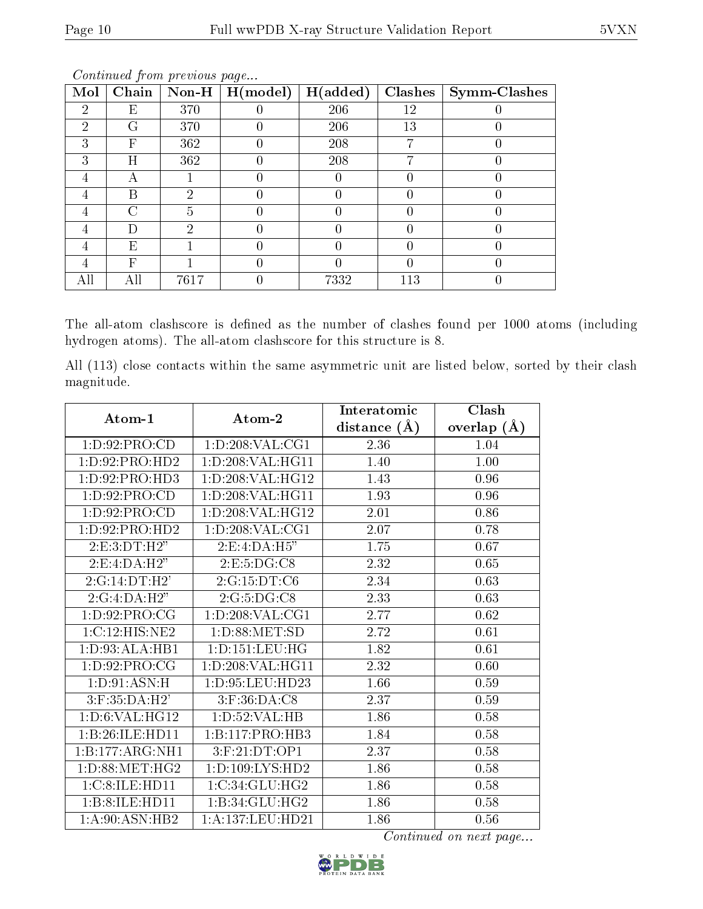| Mol            | Chain | $\bf Non-H$ | H (model) | H(added) | Clashes <sup>1</sup> | $\mid$ Symm-Clashes |
|----------------|-------|-------------|-----------|----------|----------------------|---------------------|
| $\overline{2}$ | Е     | 370         |           | 206      | 12                   |                     |
| 2              | G     | 370         |           | 206      | 13                   |                     |
| 3              | F     | 362         |           | 208      |                      |                     |
| 3              | Η     | 362         |           | 208      |                      |                     |
|                | A     |             |           |          |                      |                     |
|                | В     | ച           |           |          |                      |                     |
|                | C     | 5           |           |          |                      |                     |
|                | Ð     | 2           |           |          |                      |                     |
|                | E     |             |           |          |                      |                     |
| 4              | F     |             |           |          |                      |                     |
|                | Αll   | 7617        |           | 7332     | 113                  |                     |

Continued from previous page...

The all-atom clashscore is defined as the number of clashes found per 1000 atoms (including hydrogen atoms). The all-atom clashscore for this structure is 8.

All (113) close contacts within the same asymmetric unit are listed below, sorted by their clash magnitude.

| Atom-1             | Atom-2              | Interatomic    | Clash         |  |
|--------------------|---------------------|----------------|---------------|--|
|                    |                     | distance $(A)$ | overlap $(A)$ |  |
| 1:D:92:PRO:CD      | 1: D:208: VAL:CG1   | 2.36           | 1.04          |  |
| 1: D: 92: PRO: HD2 | 1: D:208: VAL:HGI1  | 1.40           | 1.00          |  |
| 1: D: 92: PRO: HD3 | 1:D:208:VAL:HG12    | 1.43           | 0.96          |  |
| 1: D: 92: PRO:CD   | 1: D:208: VAL:HGI1  | 1.93           | 0.96          |  |
| 1:D:92:PRO:CD      | 1:D:208:VAL:HG12    | 2.01           | 0.86          |  |
| 1:D:92:PRO:HD2     | 1: D: 208: VAL: CG1 | 2.07           | 0.78          |  |
| 2: E:3: DT:H2"     | 2: E: 4:DA:H5"      | 1.75           | 0.67          |  |
| 2:E:4:DA:H2"       | 2: E: 5: DG: C8     | 2.32           | 0.65          |  |
| 2:G:14:DT:H2'      | 2:G:15:DT:C6        | 2.34           | 0.63          |  |
| 2:G:4:DA:H2"       | 2:G:5:DG:CS         | 2.33           | 0.63          |  |
| 1:D:92:PRO:CG      | 1:D:208:VAL:CG1     | 2.77           | 0.62          |  |
| 1:C:12:HIS:NE2     | 1: D:88: MET:SD     | 2.72           | 0.61          |  |
| 1:D:93:ALA:HBI     | 1: D: 151: LEU: HG  | 1.82           | 0.61          |  |
| 1:D:92:PRO:CG      | 1:D:208:VAL:HG11    | 2.32           | 0.60          |  |
| 1: D:91: ASN:H     | 1:D:95:LEU:HD23     | 1.66           | 0.59          |  |
| 3:F:35:DA:H2'      | 3:F:36:DA:C8        | 2.37           | 0.59          |  |
| 1: D:6: VAL:HG12   | 1: D: 52: VAL: HB   | 1.86           | 0.58          |  |
| 1:B:26:ILE:HD11    | 1:B:117:PRO:HB3     | 1.84           | 0.58          |  |
| 1:B:177:ARG:NH1    | 3:F:21:DT:OP1       | 2.37           | 0.58          |  |
| 1: D: 88: MET: HG2 | 1: D: 109: LYS: HD2 | 1.86           | 0.58          |  |
| 1:C:8:ILE:HD11     | 1:C:34:GLU:HG2      | 1.86           | 0.58          |  |
| 1:B:8:ILE:HD11     | 1:B:34:GLU:HG2      | 1.86           | 0.58          |  |
| 1:A:90:ASN:HB2     | 1:A:137:LEU:HD21    | 1.86           | 0.56          |  |

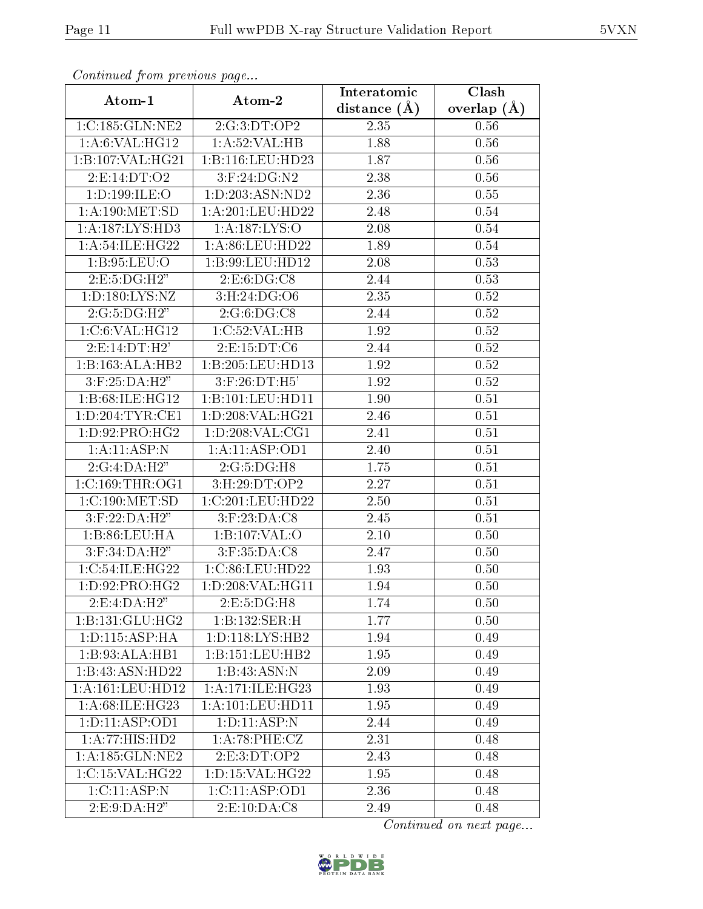| Commaca from previous page |                      | Interatomic    | Clash         |  |
|----------------------------|----------------------|----------------|---------------|--|
| Atom-1                     | Atom-2               | distance $(A)$ | overlap $(A)$ |  |
| 1:C:185:GLN:NE2            | 2:G:3:DT:OP2         | 2.35           | 0.56          |  |
| 1: A:6: VAL:HGI2           | 1:A:52:VAL:HB        | 1.88           | 0.56          |  |
| 1: B: 107: VAL:HG21        | 1:B:116:LEU:HD23     | 1.87           | 0.56          |  |
| 2:E:14:DT:O2               | 3:F:24:DG:N2         | 2.38           | 0.56          |  |
| 1: D: 199: ILE:O           | 1:D:203:ASN:ND2      | 2.36           | 0.55          |  |
| 1: A:190:MET:SD            | 1: A:201:LEU:HD22    | 2.48           | 0.54          |  |
| 1: A: 187: LYS: HD3        | 1:A:187:LYS:O        | 2.08           | 0.54          |  |
| 1: A:54: ILE: HG22         | 1: A:86: LEU:HD22    | 1.89           | 0.54          |  |
| 1: B: 95: LEU: O           | 1:B:99:LEU:HD12      | 2.08           | 0.53          |  |
| 2: E: 5: DG: H2"           | 2: E: 6: DG: C8      | 2.44           | 0.53          |  |
| 1: D: 180: LYS: NZ         | 3:H:24:DG:O6         | 2.35           | $0.52\,$      |  |
| 2:G:5:DG:H2"               | 2:G:6:DG:CS          | 2.44           | 0.52          |  |
| 1:C:6:VAL:HG12             | 1:C:52:VAL:HB        | 1.92           | 0.52          |  |
| 2: E: 14: DT:H2'           | 2:E:15:DT:C6         | 2.44           | 0.52          |  |
| 1:B:163:ALA:HB2            | 1:B:205:LEU:HD13     | 1.92           | $0.52\,$      |  |
| 3:F:25:DA:H2"              | $3:$ F:26:DT:H5'     | 1.92           | 0.52          |  |
| 1:B:68:ILE:HG12            | 1:B:101:LEU:HD11     | 1.90           | 0.51          |  |
| 1: D: 204: TYR: CE1        | 1:D:208:VAL:HG21     | 2.46           | 0.51          |  |
| 1:D:92:PRO:HG2             | 1:D:208:VAL:CG1      | 2.41           | 0.51          |  |
| 1: A:11: ASP: N            | 1:A:11:ASP:OD1       | 2.40           | 0.51          |  |
| 2:G:4:DA:H2"               | 2:G:5:DG:H8          | 1.75           | 0.51          |  |
| 1:C:169:THR:OG1            | 3: H:29: DT:OP2      | 2.27           | 0.51          |  |
| 1:C:190:MET:SD             | 1:C:201:LEU:HD22     | 2.50           | 0.51          |  |
| $3:$ F:22:DA:H2"           | $3:$ F:23:DA:C8      | 2.45           | 0.51          |  |
| 1:B:86:LEU:HA              | 1:B:107:VAL:O        | 2.10           | 0.50          |  |
| $3:$ F:34:DA:H2"           | $3:$ F:35:DA:C8      | 2.47           | 0.50          |  |
| 1:C:54:ILE:HG22            | 1:C:86:LEU:HD22      | 1.93           | 0.50          |  |
| 1: D: 92: PRO: HG2         | 1:D:208:VAL:HG11     | 1.94           | $0.50\,$      |  |
| 2:E:4:DA:H2"               | 2: E: 5: DG:H8       | 1.74           | 0.50          |  |
| 1:B:131:GLU:HG2            | 1:B:132:SER:H        | 1.77           | 0.50          |  |
| 1: D: 115: ASP: HA         | 1: D: 118: LYS: HB2  | 1.94           | 0.49          |  |
| 1:B:93:ALA:HB1             | 1:B:151:LEU:HB2      | 1.95           | 0.49          |  |
| 1:B:43:ASN:HD22            | 1:B:43:ASN:N         | 2.09           | 0.49          |  |
| 1:A:161:LEU:HD12           | 1: A:171: ILE: HG23  | 1.93           | 0.49          |  |
| 1: A:68: ILE: HG23         | 1: A: 101: LEU: HD11 | 1.95           | 0.49          |  |
| 1: D: 11: ASP: OD1         | 1: D: 11: ASP: N     | 2.44           | 0.49          |  |
| 1:A:77:HIS:HD2             | 1: A:78:PHE:CZ       | 2.31           | 0.48          |  |
| 1: A:185: GLN:NE2          | 2:E:3:DT:OP2         | 2.43           | 0.48          |  |
| 1:C:15:VAL:HG22            | 1: D: 15: VAL:HG22   | 1.95           | 0.48          |  |
| 1:C:11:ASP:N               | 1:C:11:ASP:OD1       | 2.36           | 0.48          |  |
| 2:E:9:DA:H2"               | 2: E: 10: DA: C8     | 2.49           | 0.48          |  |

Continued from previous page.

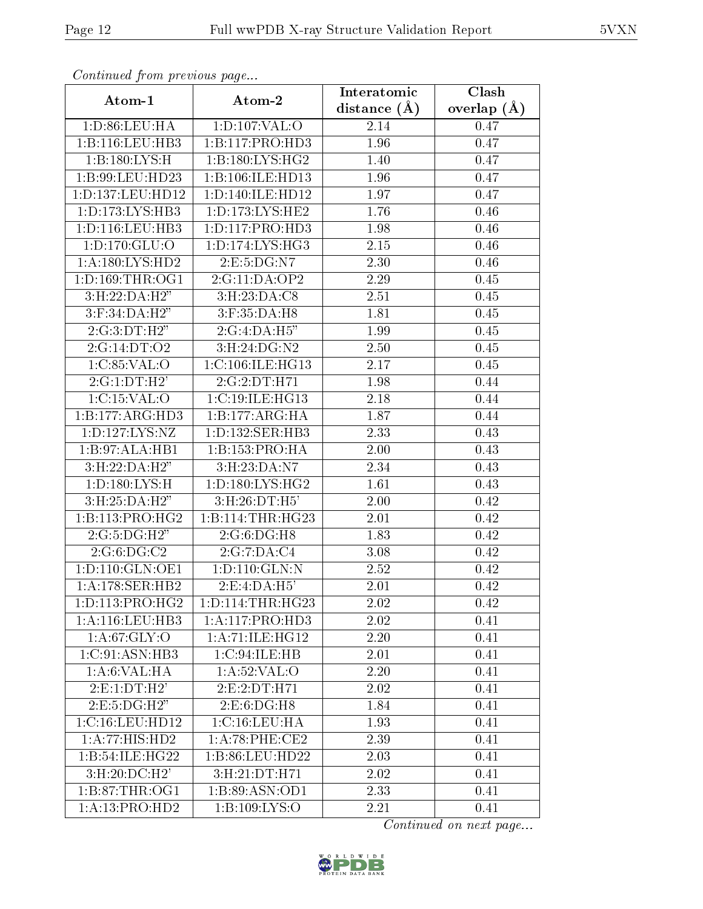| Continuou from proctious pugon.      |                               | Interatomic    | Clash         |  |
|--------------------------------------|-------------------------------|----------------|---------------|--|
| Atom-1                               | Atom-2                        | distance $(A)$ | overlap $(A)$ |  |
| 1: D:86: LEU: HA                     | 1: D: 107: VAL: O             | 2.14           | 0.47          |  |
| 1: B: 116: LEU: HB3                  | 1:B:117:PRO:HD3               | 1.96           | 0.47          |  |
| 1:B:180:LYS:H                        | 1: B: 180: LYS: HG2           | 1.40           | 0.47          |  |
| 1:B:99:LEU:HD23                      | 1:B:106:ILE:HD13              | 1.96           | 0.47          |  |
| 1:D:137:LEU:HD12                     | 1: D: 140: ILE: HD12          | 1.97           | 0.47          |  |
| 1: D: 173: LYS: HB3                  | 1: D: 173: LYS: HE2           | 1.76           | 0.46          |  |
| 1: D: 116: LEU: HB3                  | 1: D: 117: PRO: HD3           | 1.98           | 0.46          |  |
| 1: D: 170: GLU: O                    | 1: D: 174: LYS: HG3           | 2.15           | 0.46          |  |
| 1: A: 180: LYS: HD2                  | 2:E:5:DG:N7                   | 2.30           | 0.46          |  |
| 1: D: 169: THR: OG1                  | 2:G:11:DA:OP2                 | 2.29           | 0.45          |  |
| 3: H: 22: DA: H2"                    | $3: H: 23: \overline{DA:CS}$  | 2.51           | 0.45          |  |
| $3:$ F:34:DA:H2"                     | $3:$ F:35:DA: $\overline{H8}$ | 1.81           | 0.45          |  |
| 2:G:3:DT:H2"                         | 2:G:4:DA:H5"                  | 1.99           | 0.45          |  |
| 2:G:14:DT:O2                         | 3: H:24: DG: N2               | 2.50           | 0.45          |  |
| 1:C:85:VAL:O                         | 1:C:106:ILE:HGI3              | 2.17           | 0.45          |  |
| 2:G:1:DT:H2'                         | 2:G:2:DT:H71                  | 1.98           | 0.44          |  |
| 1:C:15:VAL:O                         | 1:C:19:ILE:HG13               | 2.18           | 0.44          |  |
| 1:B:177:ARG:HD3                      | 1:B:177:ARG:HA                | 1.87           | 0.44          |  |
| 1: D: 127: LYS: NZ                   | 1: D: 132: SER: HB3           | 2.33           | 0.43          |  |
| 1:B:97:ALA:HB1                       | 1:B:153:PRO:HA                | 2.00           | 0.43          |  |
| 3: H: 22: DA: H2"                    | 3:H:23:DA:N7                  | 2.34           | 0.43          |  |
| 1: D: 180: LYS:H                     | 1: D: 180: LYS: HG2           | 1.61           | 0.43          |  |
| 3:H:25:DA:H2"                        | 3:H:26:DT:H5'                 | 2.00           | 0.42          |  |
| 1:B:113:PRO:HG2                      | 1:B:114:THR:HG23              | 2.01           | 0.42          |  |
| 2:G:5:DG:H2"                         | 2:G:6:DG:H8                   | 1.83           | 0.42          |  |
| 2:G:6:DG:C2                          | 2:G:7:DA:C4                   | 3.08           | 0.42          |  |
| 1:D:110:GLN:OE1                      | 1:D:110:GLN:N                 | 2.52           | 0.42          |  |
| 1:A:178:SER:HB2                      | 2:E:4:DA:H5'                  | 2.01           | 0.42          |  |
| 1: D: 113: PRO:HG2                   | 1: D: 114: THR: HG23          | 2.02           | 0.42          |  |
| 1:A:116:LEU:HB3                      | 1:A:117:PRO:HD3               | 2.02           | 0.41          |  |
| 1: A:67: GLY:O                       | 1:A:71:ILE:HG12               | 2.20           | 0.41          |  |
| 1: C:91: ASN: HB3                    | 1:C:94:ILE:HB                 | 2.01           | 0.41          |  |
| 1: A:6: VAL:HA                       | 1:A:52:VAL:O                  | 2.20           | 0.41          |  |
| 2: E: 1: DT:H2'                      | 2:E:2:DT:H71                  | 2.02           | 0.41          |  |
| 2.E:5:DG:H2"                         | 2: E: 6: DG:H8                | 1.84           | 0.41          |  |
| 1:C:16:LEU:HD12                      | 1: C: 16: LEU: HA             | 1.93           | 0.41          |  |
| 1:A:77:HIS:HD2                       | 1: A:78:PHE:CE2               | 2.39           | 0.41          |  |
| 1:B:54:ILE:HG22                      | 1:B:86:LEU:HD22               | 2.03           | 0.41          |  |
| 3: H:20:DC:H2'                       | 3:H:21:DT:H71                 | 2.02           | 0.41          |  |
| 1:B:87:THR:OG1                       | 1:B:89:ASN:OD1                | 2.33           | 0.41          |  |
| $1:A:13:\overline{\mathrm{PRO:HD2}}$ | 1:B:109:LYS:O                 | 2.21           | 0.41          |  |

Continued from previous page.

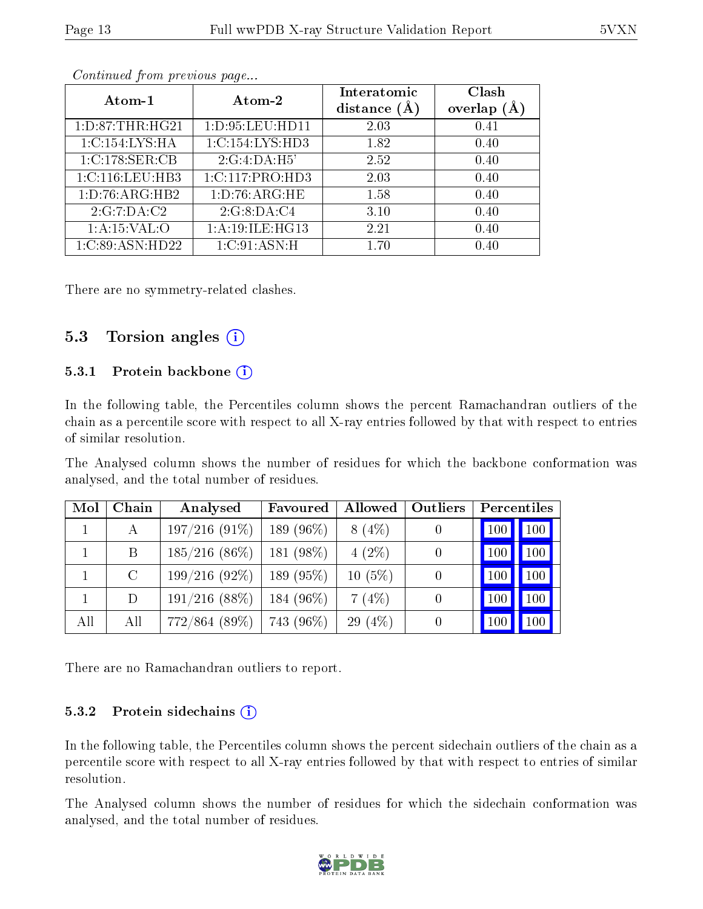| Atom-1              | Atom-2          | Interatomic<br>distance $(A)$ | Clash<br>overlap |
|---------------------|-----------------|-------------------------------|------------------|
| 1: D: 87: THR: HG21 | 1:D:95:LEU:HD11 | 2.03                          | 0.41             |
| 1:C:154:LYS:HA      | 1:C:154:LYS:HD3 | 1.82                          | 0.40             |
| 1:C:178:SER:CB      | 2:G:4:DA:H5'    | 2.52                          | 0.40             |
| 1:C:116:LEU:HB3     | 1:C:117:PRO:HD3 | 2.03                          | 0.40             |
| 1: D: 76: ARG: HB2  | 1:D:76:ARG:HE   | 1.58                          | 0.40             |
| 2:G:7:DA:C2         | 2:G:8:DA:C4     | 3.10                          | 0.40             |
| $1:$ A:15:VAL:O     | 1:A:19:ILE:HG13 | 2.21                          | 0.40             |
| 1:C:89:ASN:HD22     | 1:C:91:ASN:H    | 1.70                          | 0.40             |

Continued from previous page...

There are no symmetry-related clashes.

## 5.3 Torsion angles  $(i)$

#### 5.3.1 Protein backbone (i)

In the following table, the Percentiles column shows the percent Ramachandran outliers of the chain as a percentile score with respect to all X-ray entries followed by that with respect to entries of similar resolution.

The Analysed column shows the number of residues for which the backbone conformation was analysed, and the total number of residues.

| Mol | Chain   | Analysed         | Favoured     | Allowed   | Outliers | Percentiles |     |
|-----|---------|------------------|--------------|-----------|----------|-------------|-----|
|     | А       | $197/216(91\%)$  | 189 $(96\%)$ | $8(4\%)$  |          | 100         | 100 |
|     | B       | $185/216$ (86\%) | $181(98\%)$  | $4(2\%)$  |          | 100         | 100 |
|     | $\rm C$ | $199/216(92\%)$  | $189(95\%)$  | $10(5\%)$ |          | 100         | 100 |
|     | D       | $191/216$ (88\%) | 184 $(96\%)$ | 7(4%)     |          | 100         | 100 |
| All | All     | $772/864~(89\%)$ | 743 (96%)    | 29 $(4%)$ |          | -100        | 100 |

There are no Ramachandran outliers to report.

#### 5.3.2 Protein sidechains  $(i)$

In the following table, the Percentiles column shows the percent sidechain outliers of the chain as a percentile score with respect to all X-ray entries followed by that with respect to entries of similar resolution.

The Analysed column shows the number of residues for which the sidechain conformation was analysed, and the total number of residues.

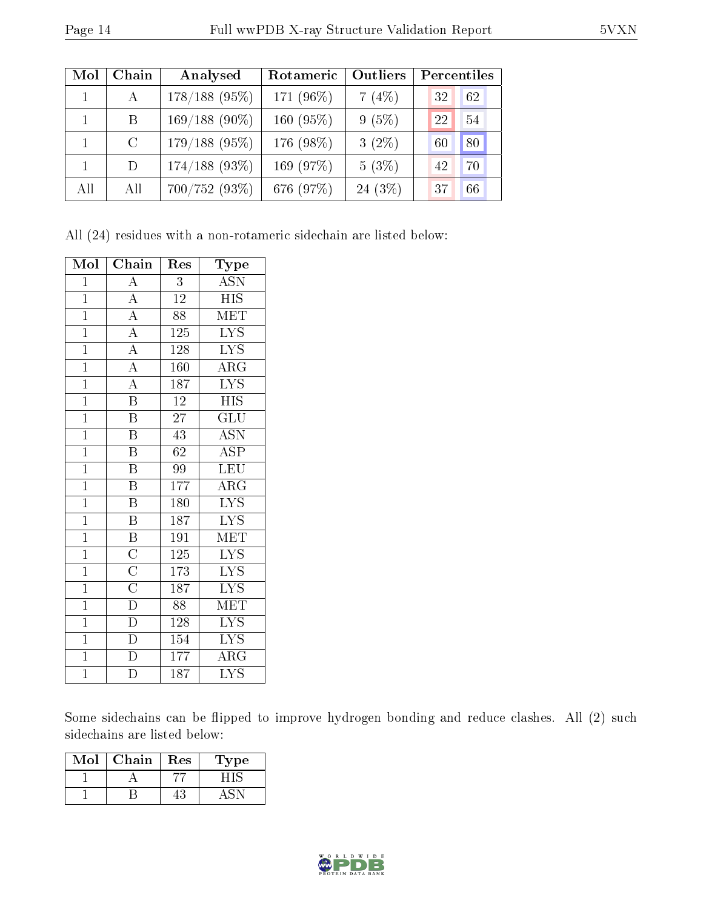| Mol | Chain   | Analysed        | Rotameric    | Outliers  | Percentiles |
|-----|---------|-----------------|--------------|-----------|-------------|
|     | A       | $178/188$ (95%) | 171 (96%)    | 7(4%)     | 32<br>62    |
|     | B.      | $169/188(90\%)$ | 160 $(95\%)$ | 9(5%)     | 22<br>54    |
|     | $\rm C$ | $179/188(95\%)$ | 176 (98%)    | $3(2\%)$  | 80<br>60    |
|     | D       | $174/188$ (93%) | 169 (97%)    | $5(3\%)$  | 42<br>70    |
| All | All     | $700/752(93\%)$ | 676 (97%)    | $24(3\%)$ | 66<br>37    |

All (24) residues with a non-rotameric sidechain are listed below:

| Mol            | Chain                               | Res             | Type                      |
|----------------|-------------------------------------|-----------------|---------------------------|
| $\mathbf{1}$   | $\overline{\rm A}$                  | $\overline{3}$  | <b>ASN</b>                |
| $\overline{1}$ | $\overline{A}$                      | $12\,$          | <b>HIS</b>                |
| $\overline{1}$ | $\overline{A}$                      | 88              | MET                       |
| $\mathbf{1}$   | $\overline{A}$                      | 125             | <b>LYS</b>                |
| $\overline{1}$ | $\overline{A}$                      | 128             | $\overline{\text{LYS}}$   |
| $\overline{1}$ | $\overline{A}$                      | 160             | $\overline{\text{ARG}}$   |
| $\overline{1}$ | $\overline{A}$                      | 187             | $\overline{\text{LYS}}$   |
| $\overline{1}$ | $\overline{\mathrm{B}}$             | $\overline{12}$ | $\overline{\mathrm{HIS}}$ |
| $\overline{1}$ | $\overline{\mathrm{B}}$             | $\overline{27}$ | GLU                       |
| $\overline{1}$ | $\overline{\mathrm{B}}$             | $\overline{43}$ | $\overline{\mathrm{ASN}}$ |
| $\overline{1}$ | Β                                   | $62\,$          | <b>ASP</b>                |
| $\mathbf{1}$   | $\, {\bf B}$                        | 99              | <b>LEU</b>                |
| $\overline{1}$ | $\overline{\mathrm{B}}$             | 177             | $\rm{ARG}$                |
| $\mathbf{1}$   | $\, {\bf B}$                        | 180             | LYS                       |
| $\overline{1}$ | $\overline{\mathrm{B}}$             | 187             | $\overline{\text{LYS}}$   |
| $\mathbf{1}$   | $\, {\bf B}$                        | 191             | <b>MET</b>                |
| $\mathbf{1}$   | $\overline{C}$                      | 125             | <b>LYS</b>                |
| $\overline{1}$ | $\frac{\overline{C}}{\overline{C}}$ | 173             | <b>LYS</b>                |
| $\mathbf{1}$   |                                     | 187             | <b>LYS</b>                |
| $\overline{1}$ | $\overline{\mathbf{D}}$             | $\overline{88}$ | MET                       |
| $\mathbf{1}$   | $\overline{\mathrm{D}}$             | 128             | <b>LYS</b>                |
| $\mathbf{1}$   | $\overline{\rm D}$                  | 154             | $\overline{\text{LYS}}$   |
| $\overline{1}$ | $\overline{\rm D}$                  | 177             | $\rm{ARG}$                |
| $\mathbf 1$    | $\overline{\rm D}$                  | 187             | <b>LYS</b>                |

Some sidechains can be flipped to improve hydrogen bonding and reduce clashes. All (2) such sidechains are listed below:

| Mol | Chain | Res | Type |
|-----|-------|-----|------|
|     |       |     |      |
|     |       |     |      |

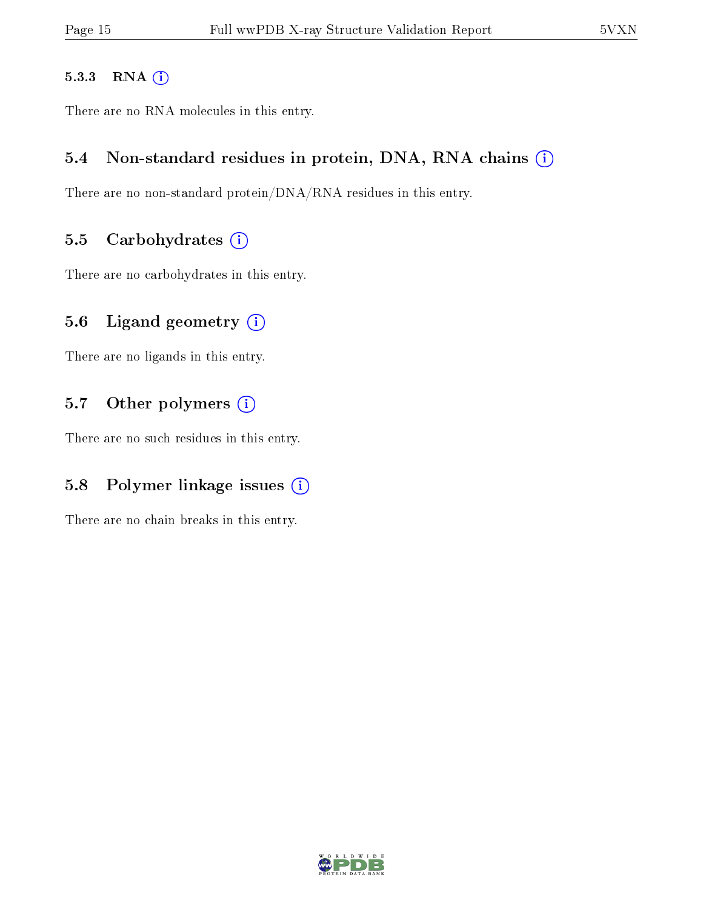#### 5.3.3 RNA [O](https://www.wwpdb.org/validation/2017/XrayValidationReportHelp#rna)i

There are no RNA molecules in this entry.

### 5.4 Non-standard residues in protein, DNA, RNA chains (i)

There are no non-standard protein/DNA/RNA residues in this entry.

#### 5.5 Carbohydrates  $(i)$

There are no carbohydrates in this entry.

## 5.6 Ligand geometry  $(i)$

There are no ligands in this entry.

## 5.7 [O](https://www.wwpdb.org/validation/2017/XrayValidationReportHelp#nonstandard_residues_and_ligands)ther polymers (i)

There are no such residues in this entry.

## 5.8 Polymer linkage issues  $(i)$

There are no chain breaks in this entry.

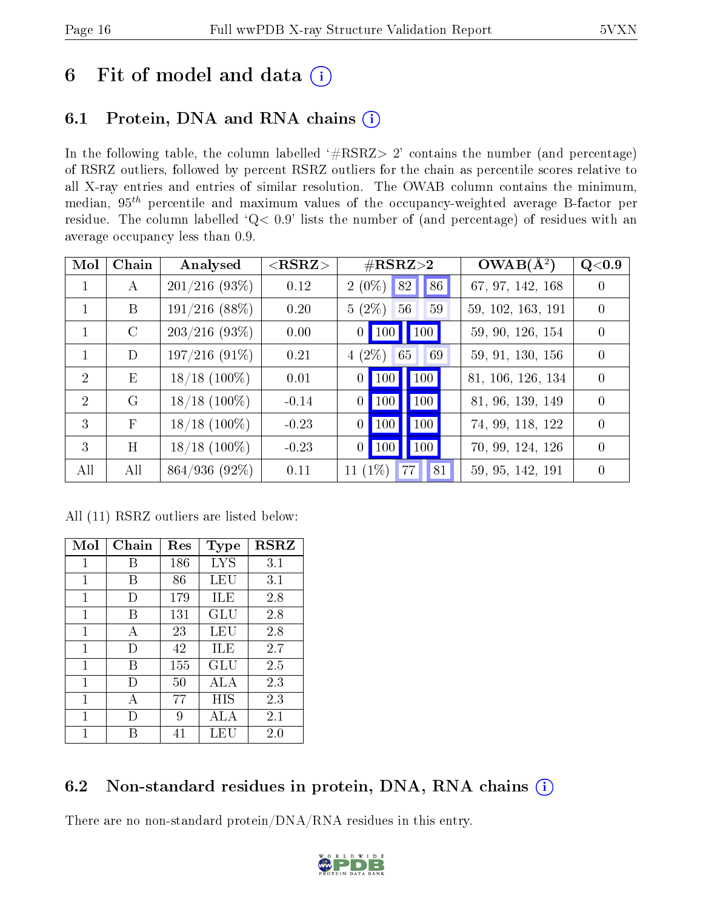# 6 Fit of model and data  $(i)$

# 6.1 Protein, DNA and RNA chains  $(i)$

In the following table, the column labelled  $#RSRZ> 2'$  contains the number (and percentage) of RSRZ outliers, followed by percent RSRZ outliers for the chain as percentile scores relative to all X-ray entries and entries of similar resolution. The OWAB column contains the minimum, median,  $95<sup>th</sup>$  percentile and maximum values of the occupancy-weighted average B-factor per residue. The column labelled ' $Q< 0.9$ ' lists the number of (and percentage) of residues with an average occupancy less than 0.9.

| Mol            | Chain         | Analysed         | $<$ RSRZ $>$ | $\#\text{RSRZ}{>}2$                                                 | $OWAB(\overline{A^2})$ | Q<0.9            |
|----------------|---------------|------------------|--------------|---------------------------------------------------------------------|------------------------|------------------|
| 1              | A             | $201/216$ (93\%) | 0.12         | 82 <br>86<br>$2(0\%)$                                               | 67, 97, 142, 168       | $\left( \right)$ |
| 1              | B             | $191/216$ (88\%) | 0.20         | $5(2\%)$<br>59<br>56                                                | 59, 102, 163, 191      | $\Omega$         |
| $\mathbf{1}$   | $\mathcal{C}$ | $203/216(93\%)$  | 0.00         | $\vert$ 100 $\vert$<br>$\vert$ 100 $\vert$<br>$\vert 0 \vert \vert$ | 59, 90, 126, 154       | $\Omega$         |
| $\mathbf{1}$   | D             | $197/216(91\%)$  | 0.21         | $4(2\%)$<br>69<br>65                                                | 59, 91, 130, 156       | $\left($         |
| $\overline{2}$ | E             | $18/18$ (100\%)  | 0.01         | $\vert$ 100<br>100<br>$\overline{0}$                                | 81, 106, 126, 134      | $\Omega$         |
| $\overline{2}$ | G             | $18/18$ (100\%)  | $-0.14$      | $\vert$ 100 $\vert$<br>100<br>$\theta$                              | 81, 96, 139, 149       | $\theta$         |
| 3              | $\mathbf{F}$  | $18/18$ (100%)   | $-0.23$      | $\vert$ 100 $\vert$<br><b>100</b><br>$\overline{0}$                 | 74, 99, 118, 122       | $\Omega$         |
| 3              | H             | $18/18$ (100%)   | $-0.23$      | $\vert$ 100 $\vert$<br><b>100</b><br>$\overline{0}$                 | 70, 99, 124, 126       | $\Omega$         |
| All            | All           | 864/936 (92%)    | 0.11         | 11 $(1\%)$<br>77<br>81                                              | 59, 95, 142, 191       | $\theta$         |

All (11) RSRZ outliers are listed below:

| Mol | $Chain$ | $\operatorname{Res}$ | <b>Type</b> | <b>RSRZ</b> |
|-----|---------|----------------------|-------------|-------------|
| 1   | В       | 186                  | <b>LYS</b>  | 3.1         |
| 1   | В       | 86                   | LEU         | 3.1         |
| 1   | D       | 179                  | ILE         | 2.8         |
| 1   | R       | 131                  | GLU         | 2.8         |
| 1   | А       | 23                   | LEU         | 2.8         |
| 1   | $\Box$  | 42                   | ILE         | 2.7         |
| 1   | B       | 155                  | GLU         | 2.5         |
| 1   | Ð       | 50                   | ALA         | 2.3         |
| 1   | А       | 77                   | HIS         | 2.3         |
| 1   | Ð       | 9                    | ALA         | 2.1         |
| 1   |         | 41                   | LEU         | $2.0\,$     |

# 6.2 Non-standard residues in protein, DNA, RNA chains (i)

There are no non-standard protein/DNA/RNA residues in this entry.